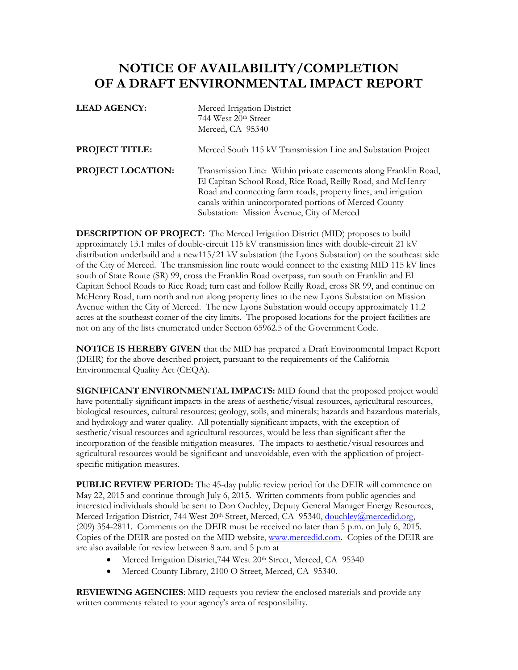## **NOTICE OF AVAILABILITY/COMPLETION OF A DRAFT ENVIRONMENTAL IMPACT REPORT**

| <b>LEAD AGENCY:</b>      | Merced Irrigation District<br>744 West 20th Street<br>Merced, CA 95340                                                                                                                                                                                                                                    |
|--------------------------|-----------------------------------------------------------------------------------------------------------------------------------------------------------------------------------------------------------------------------------------------------------------------------------------------------------|
| <b>PROJECT TITLE:</b>    | Merced South 115 kV Transmission Line and Substation Project                                                                                                                                                                                                                                              |
| <b>PROJECT LOCATION:</b> | Transmission Line: Within private easements along Franklin Road,<br>El Capitan School Road, Rice Road, Reilly Road, and McHenry<br>Road and connecting farm roads, property lines, and irrigation<br>canals within unincorporated portions of Merced County<br>Substation: Mission Avenue, City of Merced |

**DESCRIPTION OF PROJECT:** The Merced Irrigation District (MID) proposes to build approximately 13.1 miles of double-circuit 115 kV transmission lines with double-circuit 21 kV distribution underbuild and a new115/21 kV substation (the Lyons Substation) on the southeast side of the City of Merced. The transmission line route would connect to the existing MID 115 kV lines south of State Route (SR) 99, cross the Franklin Road overpass, run south on Franklin and El Capitan School Roads to Rice Road; turn east and follow Reilly Road, cross SR 99, and continue on McHenry Road, turn north and run along property lines to the new Lyons Substation on Mission Avenue within the City of Merced. The new Lyons Substation would occupy approximately 11.2 acres at the southeast corner of the city limits. The proposed locations for the project facilities are not on any of the lists enumerated under Section 65962.5 of the Government Code.

**NOTICE IS HEREBY GIVEN** that the MID has prepared a Draft Environmental Impact Report (DEIR) for the above described project, pursuant to the requirements of the California Environmental Quality Act (CEQA).

**SIGNIFICANT ENVIRONMENTAL IMPACTS:** MID found that the proposed project would have potentially significant impacts in the areas of aesthetic/visual resources, agricultural resources, biological resources, cultural resources; geology, soils, and minerals; hazards and hazardous materials, and hydrology and water quality. All potentially significant impacts, with the exception of aesthetic/visual resources and agricultural resources, would be less than significant after the incorporation of the feasible mitigation measures. The impacts to aesthetic/visual resources and agricultural resources would be significant and unavoidable, even with the application of projectspecific mitigation measures.

**PUBLIC REVIEW PERIOD:** The 45-day public review period for the DEIR will commence on May 22, 2015 and continue through July 6, 2015. Written comments from public agencies and interested individuals should be sent to Don Ouchley, Deputy General Manager Energy Resources, Merced Irrigation District, 744 West 20<sup>th</sup> Street, Merced, CA 95340, [douchley@mercedid.org,](mailto:douchley@mercedid.org) (209) 354-2811. Comments on the DEIR must be received no later than 5 p.m. on July 6, 2015. Copies of the DEIR are posted on the MID website, [www.mercedid.com.](http://www.mercedid.com/) Copies of the DEIR are are also available for review between 8 a.m. and 5 p.m at

- Merced Irrigation District, 744 West 20<sup>th</sup> Street, Merced, CA 95340
- Merced County Library, 2100 O Street, Merced, CA 95340.

**REVIEWING AGENCIES**: MID requests you review the enclosed materials and provide any written comments related to your agency's area of responsibility.